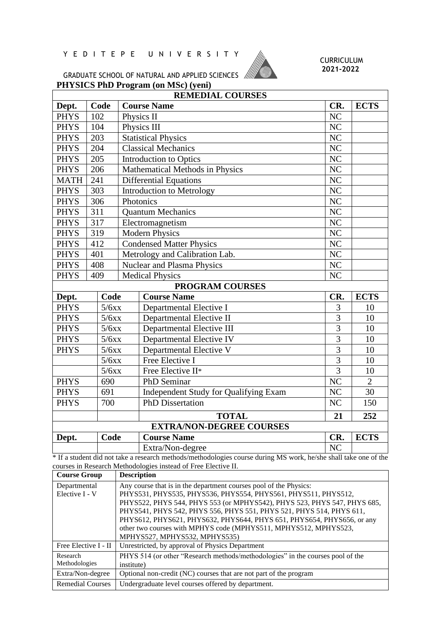## Y E D I T E P E U N I V E R S I T Y



## CURRICULUM **2021-2022**

**PHYSICS PhD Program (on MSc) (yeni)** GRADUATE SCHOOL OF NATURAL AND APPLIED SCIENCES

| <b>REMEDIAL COURSES</b>         |       |             |                                       |                |                |  |  |
|---------------------------------|-------|-------------|---------------------------------------|----------------|----------------|--|--|
| Dept.                           | Code  |             | <b>Course Name</b>                    | CR.            | <b>ECTS</b>    |  |  |
| <b>PHYS</b>                     | 102   |             | Physics II                            | NC             |                |  |  |
| <b>PHYS</b>                     | 104   |             | Physics III                           | NC             |                |  |  |
| <b>PHYS</b>                     | 203   |             | <b>Statistical Physics</b>            | NC             |                |  |  |
| <b>PHYS</b>                     | 204   |             | <b>Classical Mechanics</b>            | NC             |                |  |  |
| <b>PHYS</b>                     | 205   |             | <b>Introduction to Optics</b>         | NC             |                |  |  |
| <b>PHYS</b>                     | 206   |             | Mathematical Methods in Physics       | N <sub>C</sub> |                |  |  |
| <b>MATH</b>                     | 241   |             | <b>Differential Equations</b>         | N <sub>C</sub> |                |  |  |
| <b>PHYS</b>                     | 303   |             | <b>Introduction to Metrology</b>      | NC             |                |  |  |
| <b>PHYS</b>                     | 306   |             | Photonics                             | N <sub>C</sub> |                |  |  |
| <b>PHYS</b>                     | 311   |             | <b>Quantum Mechanics</b>              | NC             |                |  |  |
| <b>PHYS</b>                     | 317   |             | Electromagnetism                      | NC             |                |  |  |
| <b>PHYS</b>                     | 319   |             | <b>Modern Physics</b>                 | NC             |                |  |  |
| <b>PHYS</b>                     | 412   |             | <b>Condensed Matter Physics</b>       | NC             |                |  |  |
| <b>PHYS</b>                     | 401   |             | Metrology and Calibration Lab.        | NC             |                |  |  |
| <b>PHYS</b>                     | 408   |             | <b>Nuclear and Plasma Physics</b>     | NC             |                |  |  |
| <b>PHYS</b>                     | 409   |             | <b>Medical Physics</b>                | NC             |                |  |  |
|                                 |       |             | <b>PROGRAM COURSES</b>                |                |                |  |  |
| Dept.                           | Code  |             | <b>Course Name</b>                    | CR.            | <b>ECTS</b>    |  |  |
| <b>PHYS</b>                     | 5/6xx |             | Departmental Elective I               | 3              | 10             |  |  |
| <b>PHYS</b>                     | 5/6xx |             | Departmental Elective II              | $\overline{3}$ | 10             |  |  |
| <b>PHYS</b>                     | 5/6xx |             | Departmental Elective III             | $\overline{3}$ | 10             |  |  |
| <b>PHYS</b><br>5/6xx            |       |             | Departmental Elective IV              | 3              | 10             |  |  |
| <b>PHYS</b>                     | 5/6xx |             | Departmental Elective V               | 3              | 10             |  |  |
|                                 | 5/6xx |             | Free Elective I                       | $\overline{3}$ | 10             |  |  |
|                                 | 5/6xx |             | Free Elective II*                     | $\overline{3}$ | 10             |  |  |
| 690<br><b>PHYS</b>              |       | PhD Seminar |                                       | NC             | $\overline{2}$ |  |  |
| <b>PHYS</b><br>691              |       |             | Independent Study for Qualifying Exam | NC             | 30             |  |  |
| <b>PHYS</b>                     | 700   |             | <b>PhD</b> Dissertation               | NC             | 150            |  |  |
|                                 |       |             | <b>TOTAL</b>                          | 21             | 252            |  |  |
| <b>EXTRA/NON-DEGREE COURSES</b> |       |             |                                       |                |                |  |  |
| Dept.                           | Code  |             | <b>Course Name</b>                    | CR.            | <b>ECTS</b>    |  |  |
|                                 |       |             | Extra/Non-degree                      | NC             |                |  |  |

\* If a student did not take a research methods/methodologies course during MS work, he/she shall take one of the courses in Research Methodologies instead of Free Elective II.

| <b>Course Group</b>            | <b>Description</b>                                                                                                                                                                                                                                                                                                                                                                                                                                                     |
|--------------------------------|------------------------------------------------------------------------------------------------------------------------------------------------------------------------------------------------------------------------------------------------------------------------------------------------------------------------------------------------------------------------------------------------------------------------------------------------------------------------|
| Departmental<br>Elective I - V | Any course that is in the department courses pool of the Physics:<br>PHYS531, PHYS535, PHYS536, PHYS554, PHYS561, PHYS511, PHYS512,<br>PHYS522, PHYS 544, PHYS 553 (or MPHYS542), PHYS 523, PHYS 547, PHYS 685,<br>PHYS541, PHYS 542, PHYS 556, PHYS 551, PHYS 521, PHYS 514, PHYS 611,<br>PHYS612, PHYS621, PHYS632, PHYS644, PHYS 651, PHYS654, PHYS656, or any<br>other two courses with MPHYS code (MPHYS511, MPHYS512, MPHYS523,<br>MPHYS527, MPHYS532, MPHYS535) |
| Free Elective I - II           | Unrestricted, by approval of Physics Department                                                                                                                                                                                                                                                                                                                                                                                                                        |
| Research<br>Methodologies      | PHYS 514 (or other "Research methods/methodologies" in the courses pool of the<br>institute)                                                                                                                                                                                                                                                                                                                                                                           |
| Extra/Non-degree               | Optional non-credit (NC) courses that are not part of the program                                                                                                                                                                                                                                                                                                                                                                                                      |
| <b>Remedial Courses</b>        | Undergraduate level courses offered by department.                                                                                                                                                                                                                                                                                                                                                                                                                     |